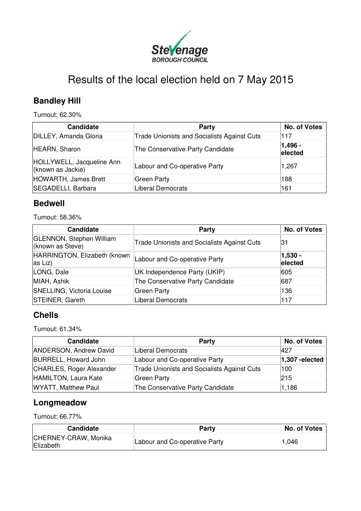

# Results of the local election held on 7 May 2015

# **Bandley Hill**

Turnout: 62.30%

| <b>Candidate</b>                               | Party                                              | <b>No. of Votes</b> |
|------------------------------------------------|----------------------------------------------------|---------------------|
| DILLEY, Amanda Gloria                          | <b>Trade Unionists and Socialists Against Cuts</b> | 117                 |
| HEARN, Sharon                                  | The Conservative Party Candidate                   | 1,496 -<br>elected  |
| HOLLYWELL, Jacqueline Ann<br>(known as Jackie) | Labour and Co-operative Party                      | 1,267               |
| HOWARTH, James Brett                           | Green Party                                        | 188                 |
| SEGADELLI, Barbara                             | Liberal Democrats                                  | 161                 |

### **Bedwell**

Turnout: 58.36%

| <b>Candidate</b>                                    | Party                                              | <b>No. of Votes</b>   |
|-----------------------------------------------------|----------------------------------------------------|-----------------------|
| <b>GLENNON, Stephen William</b><br>(known as Steve) | <b>Trade Unionists and Socialists Against Cuts</b> | 131                   |
| HARRINGTON, Elizabeth (known<br>as Liz)             | Labour and Co-operative Party                      | $ 1,530 -$<br>elected |
| LONG, Dale                                          | UK Independence Party (UKIP)                       | 605                   |
| MIAH, Ashik                                         | The Conservative Party Candidate                   | 687                   |
| <b>SNELLING, Victoria Louise</b>                    | Green Party                                        | 136                   |
| STEINER, Gareth                                     | Liberal Democrats                                  | 117                   |

### **Chells**

Turnout: 61.34%

| <b>Candidate</b>              | Party                                              | No. of Votes      |
|-------------------------------|----------------------------------------------------|-------------------|
| <b>ANDERSON, Andrew David</b> | Liberal Democrats                                  | 1427              |
| <b>BURRELL, Howard John</b>   | Labour and Co-operative Party                      | $ 1,307$ -elected |
| CHARLES, Roger Alexander      | <b>Trade Unionists and Socialists Against Cuts</b> | 100               |
| HAMILTON, Laura Kate          | Green Party                                        | 215               |
| <b>WYATT, Matthew Paul</b>    | The Conservative Party Candidate                   | 1,186             |

### **Longmeadow**

Turnout: 66.77%

| Candidate                         | Party                         | No. of Votes |
|-----------------------------------|-------------------------------|--------------|
| CHERNEY-CRAW, Monika<br>Elizabeth | Labour and Co-operative Party | 1,046        |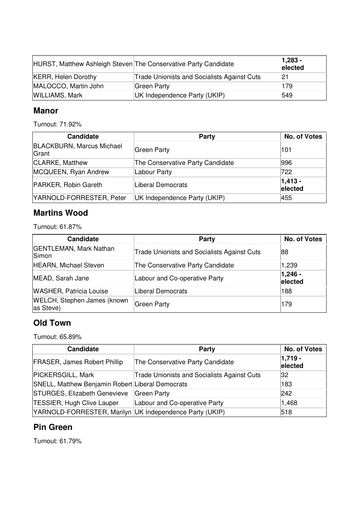|                            | HURST, Matthew Ashleigh Steven The Conservative Party Candidate | $ 1,283 -$<br>elected |
|----------------------------|-----------------------------------------------------------------|-----------------------|
| <b>KERR, Helen Dorothy</b> | <b>Trade Unionists and Socialists Against Cuts</b>              | 21                    |
| MALOCCO, Martin John       | Green Party                                                     | 179                   |
| <b>WILLIAMS, Mark</b>      | UK Independence Party (UKIP)                                    | 549                   |

#### **Manor**

Turnout: 71.92%

| <b>Candidate</b>                          | Party                            | <b>No. of Votes</b>   |
|-------------------------------------------|----------------------------------|-----------------------|
| <b>BLACKBURN, Marcus Michael</b><br>Grant | Green Party                      | 101                   |
| <b>CLARKE, Matthew</b>                    | The Conservative Party Candidate | 996                   |
| MCQUEEN, Ryan Andrew                      | Labour Party                     | 722                   |
| PARKER, Robin Gareth                      | Liberal Democrats                | $ 1,413 -$<br>elected |
| YARNOLD-FORRESTER, Peter                  | UK Independence Party (UKIP)     | 455                   |

### **Martins Wood**

Turnout: 61.87%

| <b>Candidate</b>                                | Party                                              | <b>No. of Votes</b>   |
|-------------------------------------------------|----------------------------------------------------|-----------------------|
| <b>GENTLEMAN, Mark Nathan</b><br>Simon          | <b>Trade Unionists and Socialists Against Cuts</b> | 88                    |
| <b>HEARN, Michael Steven</b>                    | The Conservative Party Candidate                   | 1,239                 |
| MEAD, Sarah Jane                                | Labour and Co-operative Party                      | $ 1,246 -$<br>elected |
| <b>WASHER, Patricia Louise</b>                  | Liberal Democrats                                  | 188                   |
| <b>WELCH, Stephen James (known</b><br>as Steve) | Green Party                                        | 179                   |

### **Old Town**

Turnout: 65.89%

| <b>Candidate</b>                                        | Party                                              | No. of Votes          |
|---------------------------------------------------------|----------------------------------------------------|-----------------------|
| <b>FRASER, James Robert Phillip</b>                     | The Conservative Party Candidate                   | $ 1,719 -$<br>elected |
| <b>PICKERSGILL, Mark</b>                                | <b>Trade Unionists and Socialists Against Cuts</b> | 32                    |
| SNELL, Matthew Benjamin Robert Liberal Democrats        |                                                    | 183                   |
| STURGES, Elizabeth Genevieve                            | Green Party                                        | 242                   |
| TESSIER, Hugh Clive Lauper                              | Labour and Co-operative Party                      | 1,468                 |
| YARNOLD-FORRESTER, Marilyn UK Independence Party (UKIP) |                                                    | 518                   |

### **Pin Green**

Turnout: 61.79%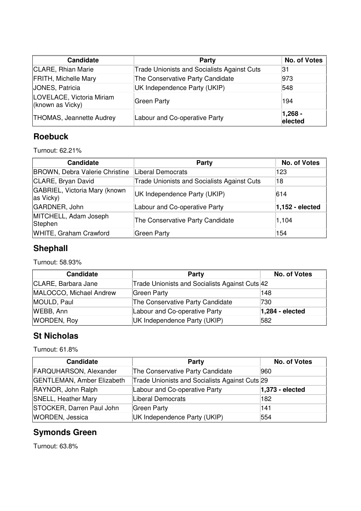| <b>Candidate</b>                              | Party                                              | No. of Votes         |
|-----------------------------------------------|----------------------------------------------------|----------------------|
| CLARE, Rhian Marie                            | <b>Trade Unionists and Socialists Against Cuts</b> | 31                   |
| <b>FRITH, Michelle Mary</b>                   | The Conservative Party Candidate                   | 973                  |
| JONES, Patricia                               | UK Independence Party (UKIP)                       | 548                  |
| LOVELACE, Victoria Miriam<br>(known as Vicky) | Green Party                                        | 194                  |
| <b>THOMAS, Jeannette Audrey</b>               | Labour and Co-operative Party                      | $1,268 -$<br>elected |

### **Roebuck**

Turnout: 62.21%

| <b>Candidate</b>                           | <b>Party</b>                                       | <b>No. of Votes</b> |
|--------------------------------------------|----------------------------------------------------|---------------------|
| BROWN, Debra Valerie Christine             | Liberal Democrats                                  | 123                 |
| CLARE, Bryan David                         | <b>Trade Unionists and Socialists Against Cuts</b> | 18                  |
| GABRIEL, Victoria Mary (known<br>as Vicky) | UK Independence Party (UKIP)                       | 614                 |
| GARDNER, John                              | Labour and Co-operative Party                      | $1,152$ - elected   |
| MITCHELL, Adam Joseph<br>Stephen           | The Conservative Party Candidate                   | 1,104               |
| WHITE, Graham Crawford                     | Green Party                                        | 154                 |

# **Shephall**

Turnout: 58.93%

| Candidate               | Party                                          | No. of Votes      |
|-------------------------|------------------------------------------------|-------------------|
| CLARE, Barbara Jane     | Trade Unionists and Socialists Against Cuts 42 |                   |
| MALOCCO, Michael Andrew | Green Party                                    | 148               |
| MOULD, Paul             | The Conservative Party Candidate               | 730               |
| WEBB, Ann               | Labour and Co-operative Party                  | $1,284 - elected$ |
| <b>WORDEN, Roy</b>      | UK Independence Party (UKIP)                   | 582               |

### **St Nicholas**

Turnout: 61.8%

| Candidate                         | Party                                          | No. of Votes      |
|-----------------------------------|------------------------------------------------|-------------------|
| <b>FARQUHARSON, Alexander</b>     | The Conservative Party Candidate               | 960               |
| <b>GENTLEMAN, Amber Elizabeth</b> | Trade Unionists and Socialists Against Cuts 29 |                   |
| RAYNOR, John Ralph                | Labour and Co-operative Party                  | $1,373$ - elected |
| <b>SNELL, Heather Mary</b>        | Liberal Democrats                              | 182               |
| STOCKER, Darren Paul John         | Green Party                                    | 141               |
| <b>WORDEN, Jessica</b>            | UK Independence Party (UKIP)                   | 554               |

# **Symonds Green**

Turnout: 63.8%